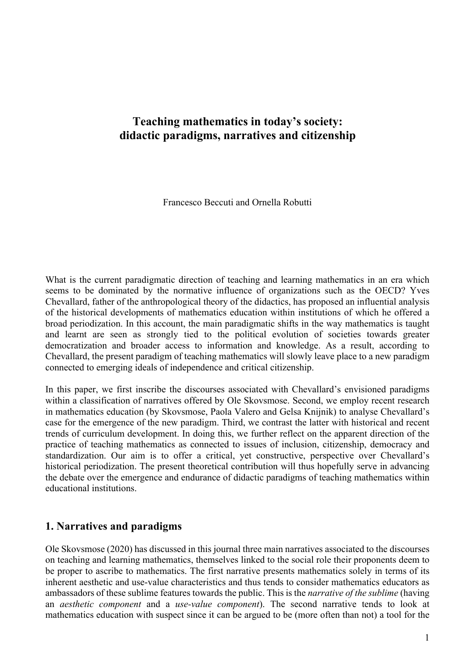# **Teaching mathematics in today's society: didactic paradigms, narratives and citizenship**

Francesco Beccuti and Ornella Robutti

What is the current paradigmatic direction of teaching and learning mathematics in an era which seems to be dominated by the normative influence of organizations such as the OECD? Yves Chevallard, father of the anthropological theory of the didactics, has proposed an influential analysis of the historical developments of mathematics education within institutions of which he offered a broad periodization. In this account, the main paradigmatic shifts in the way mathematics is taught and learnt are seen as strongly tied to the political evolution of societies towards greater democratization and broader access to information and knowledge. As a result, according to Chevallard, the present paradigm of teaching mathematics will slowly leave place to a new paradigm connected to emerging ideals of independence and critical citizenship.

In this paper, we first inscribe the discourses associated with Chevallard's envisioned paradigms within a classification of narratives offered by Ole Skovsmose. Second, we employ recent research in mathematics education (by Skovsmose, Paola Valero and Gelsa Knijnik) to analyse Chevallard's case for the emergence of the new paradigm. Third, we contrast the latter with historical and recent trends of curriculum development. In doing this, we further reflect on the apparent direction of the practice of teaching mathematics as connected to issues of inclusion, citizenship, democracy and standardization. Our aim is to offer a critical, yet constructive, perspective over Chevallard's historical periodization. The present theoretical contribution will thus hopefully serve in advancing the debate over the emergence and endurance of didactic paradigms of teaching mathematics within educational institutions.

#### **1. Narratives and paradigms**

Ole Skovsmose (2020) has discussed in this journal three main narratives associated to the discourses on teaching and learning mathematics, themselves linked to the social role their proponents deem to be proper to ascribe to mathematics. The first narrative presents mathematics solely in terms of its inherent aesthetic and use-value characteristics and thus tends to consider mathematics educators as ambassadors of these sublime features towards the public. This is the *narrative of the sublime* (having an *aesthetic component* and a *use-value component*). The second narrative tends to look at mathematics education with suspect since it can be argued to be (more often than not) a tool for the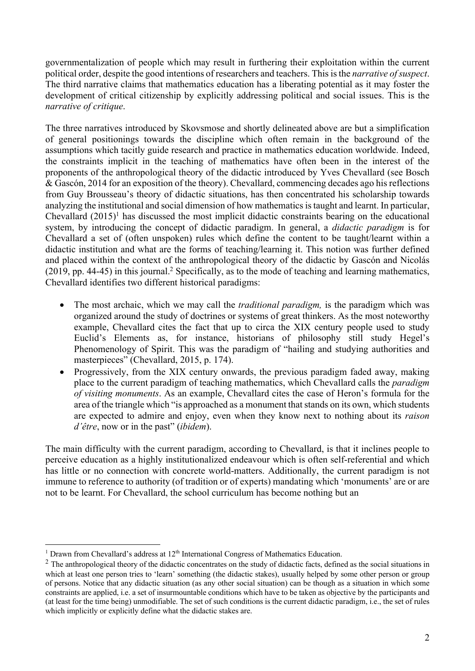governmentalization of people which may result in furthering their exploitation within the current political order, despite the good intentions of researchers and teachers. This isthe *narrative of suspect*. The third narrative claims that mathematics education has a liberating potential as it may foster the development of critical citizenship by explicitly addressing political and social issues. This is the *narrative of critique*.

The three narratives introduced by Skovsmose and shortly delineated above are but a simplification of general positionings towards the discipline which often remain in the background of the assumptions which tacitly guide research and practice in mathematics education worldwide. Indeed, the constraints implicit in the teaching of mathematics have often been in the interest of the proponents of the anthropological theory of the didactic introduced by Yves Chevallard (see Bosch & Gascón, 2014 for an exposition of the theory). Chevallard, commencing decades ago his reflections from Guy Brousseau's theory of didactic situations, has then concentrated his scholarship towards analyzing the institutional and social dimension of how mathematics is taught and learnt. In particular, Chevallard  $(2015)^1$  has discussed the most implicit didactic constraints bearing on the educational system, by introducing the concept of didactic paradigm. In general, a *didactic paradigm* is for Chevallard a set of (often unspoken) rules which define the content to be taught/learnt within a didactic institution and what are the forms of teaching/learning it. This notion was further defined and placed within the context of the anthropological theory of the didactic by Gascón and Nicolás  $(2019, pp. 44-45)$  in this journal.<sup>2</sup> Specifically, as to the mode of teaching and learning mathematics, Chevallard identifies two different historical paradigms:

- The most archaic, which we may call the *traditional paradigm,* is the paradigm which was organized around the study of doctrines or systems of great thinkers. As the most noteworthy example, Chevallard cites the fact that up to circa the XIX century people used to study Euclid's Elements as, for instance, historians of philosophy still study Hegel's Phenomenology of Spirit. This was the paradigm of "hailing and studying authorities and masterpieces" (Chevallard, 2015, p. 174).
- Progressively, from the XIX century onwards, the previous paradigm faded away, making place to the current paradigm of teaching mathematics, which Chevallard calls the *paradigm of visiting monuments*. As an example, Chevallard cites the case of Heron's formula for the area of the triangle which "is approached as a monument that stands on its own, which students are expected to admire and enjoy, even when they know next to nothing about its *raison d'être*, now or in the past" (*ibidem*).

The main difficulty with the current paradigm, according to Chevallard, is that it inclines people to perceive education as a highly institutionalized endeavour which is often self-referential and which has little or no connection with concrete world-matters. Additionally, the current paradigm is not immune to reference to authority (of tradition or of experts) mandating which 'monuments' are or are not to be learnt. For Chevallard, the school curriculum has become nothing but an

<sup>&</sup>lt;sup>1</sup> Drawn from Chevallard's address at  $12<sup>th</sup>$  International Congress of Mathematics Education.

 $<sup>2</sup>$  The anthropological theory of the didactic concentrates on the study of didactic facts, defined as the social situations in</sup> which at least one person tries to 'learn' something (the didactic stakes), usually helped by some other person or group of persons. Notice that any didactic situation (as any other social situation) can be though as a situation in which some constraints are applied, i.e. a set of insurmountable conditions which have to be taken as objective by the participants and (at least for the time being) unmodifiable. The set of such conditions is the current didactic paradigm, i.e., the set of rules which implicitly or explicitly define what the didactic stakes are.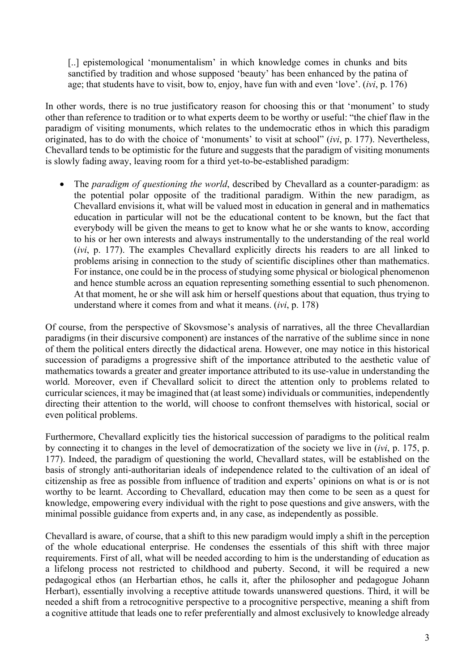[..] epistemological 'monumentalism' in which knowledge comes in chunks and bits sanctified by tradition and whose supposed 'beauty' has been enhanced by the patina of age; that students have to visit, bow to, enjoy, have fun with and even 'love'. (*ivi*, p. 176)

In other words, there is no true justificatory reason for choosing this or that 'monument' to study other than reference to tradition or to what experts deem to be worthy or useful: "the chief flaw in the paradigm of visiting monuments, which relates to the undemocratic ethos in which this paradigm originated, has to do with the choice of 'monuments' to visit at school" (*ivi*, p. 177). Nevertheless, Chevallard tends to be optimistic for the future and suggests that the paradigm of visiting monuments is slowly fading away, leaving room for a third yet-to-be-established paradigm:

• The *paradigm of questioning the world*, described by Chevallard as a counter-paradigm: as the potential polar opposite of the traditional paradigm. Within the new paradigm, as Chevallard envisions it, what will be valued most in education in general and in mathematics education in particular will not be the educational content to be known, but the fact that everybody will be given the means to get to know what he or she wants to know, according to his or her own interests and always instrumentally to the understanding of the real world (*ivi*, p. 177). The examples Chevallard explicitly directs his readers to are all linked to problems arising in connection to the study of scientific disciplines other than mathematics. For instance, one could be in the process of studying some physical or biological phenomenon and hence stumble across an equation representing something essential to such phenomenon. At that moment, he or she will ask him or herself questions about that equation, thus trying to understand where it comes from and what it means. (*ivi*, p. 178)

Of course, from the perspective of Skovsmose's analysis of narratives, all the three Chevallardian paradigms (in their discursive component) are instances of the narrative of the sublime since in none of them the political enters directly the didactical arena. However, one may notice in this historical succession of paradigms a progressive shift of the importance attributed to the aesthetic value of mathematics towards a greater and greater importance attributed to its use-value in understanding the world. Moreover, even if Chevallard solicit to direct the attention only to problems related to curricular sciences, it may be imagined that (at least some) individuals or communities, independently directing their attention to the world, will choose to confront themselves with historical, social or even political problems.

Furthermore, Chevallard explicitly ties the historical succession of paradigms to the political realm by connecting it to changes in the level of democratization of the society we live in (*ivi*, p. 175, p. 177). Indeed, the paradigm of questioning the world, Chevallard states, will be established on the basis of strongly anti-authoritarian ideals of independence related to the cultivation of an ideal of citizenship as free as possible from influence of tradition and experts' opinions on what is or is not worthy to be learnt. According to Chevallard, education may then come to be seen as a quest for knowledge, empowering every individual with the right to pose questions and give answers, with the minimal possible guidance from experts and, in any case, as independently as possible.

Chevallard is aware, of course, that a shift to this new paradigm would imply a shift in the perception of the whole educational enterprise. He condenses the essentials of this shift with three major requirements. First of all, what will be needed according to him is the understanding of education as a lifelong process not restricted to childhood and puberty. Second, it will be required a new pedagogical ethos (an Herbartian ethos, he calls it, after the philosopher and pedagogue Johann Herbart), essentially involving a receptive attitude towards unanswered questions. Third, it will be needed a shift from a retrocognitive perspective to a procognitive perspective, meaning a shift from a cognitive attitude that leads one to refer preferentially and almost exclusively to knowledge already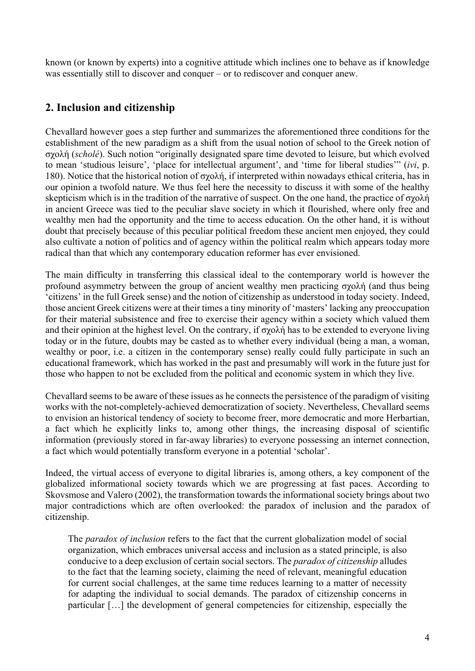known (or known by experts) into a cognitive attitude which inclines one to behave as if knowledge was essentially still to discover and conquer – or to rediscover and conquer anew.

## **2. Inclusion and citizenship**

Chevallard however goes a step further and summarizes the aforementioned three conditions for the establishment of the new paradigm as a shift from the usual notion of school to the Greek notion of σχολή (*scholé*). Such notion "originally designated spare time devoted to leisure, but which evolved to mean 'studious leisure', 'place for intellectual argument', and 'time for liberal studies'" (*ivi*, p. 180). Notice that the historical notion of σχολή, if interpreted within nowadays ethical criteria, has in our opinion a twofold nature. We thus feel here the necessity to discuss it with some of the healthy skepticism which is in the tradition of the narrative of suspect. On the one hand, the practice of σχολή in ancient Greece was tied to the peculiar slave society in which it flourished, where only free and wealthy men had the opportunity and the time to access education. On the other hand, it is without doubt that precisely because of this peculiar political freedom these ancient men enjoyed, they could also cultivate a notion of politics and of agency within the political realm which appears today more radical than that which any contemporary education reformer has ever envisioned.

The main difficulty in transferring this classical ideal to the contemporary world is however the profound asymmetry between the group of ancient wealthy men practicing σχολή (and thus being 'citizens' in the full Greek sense) and the notion of citizenship as understood in today society. Indeed, those ancient Greek citizens were at their times a tiny minority of 'masters' lacking any preoccupation for their material subsistence and free to exercise their agency within a society which valued them and their opinion at the highest level. On the contrary, if σχολή has to be extended to everyone living today or in the future, doubts may be casted as to whether every individual (being a man, a woman, wealthy or poor, i.e. a citizen in the contemporary sense) really could fully participate in such an educational framework, which has worked in the past and presumably will work in the future just for those who happen to not be excluded from the political and economic system in which they live.

Chevallard seems to be aware of these issues as he connects the persistence of the paradigm of visiting works with the not-completely-achieved democratization of society. Nevertheless, Chevallard seems to envision an historical tendency of society to become freer, more democratic and more Herbartian, a fact which he explicitly links to, among other things, the increasing disposal of scientific information (previously stored in far-away libraries) to everyone possessing an internet connection, a fact which would potentially transform everyone in a potential 'scholar'.

Indeed, the virtual access of everyone to digital libraries is, among others, a key component of the globalized informational society towards which we are progressing at fast paces. According to Skovsmose and Valero (2002), the transformation towards the informational society brings about two major contradictions which are often overlooked: the paradox of inclusion and the paradox of citizenship.

The *paradox of inclusion* refers to the fact that the current globalization model of social organization, which embraces universal access and inclusion as a stated principle, is also conducive to a deep exclusion of certain social sectors. The *paradox of citizenship* alludes to the fact that the learning society, claiming the need of relevant, meaningful education for current social challenges, at the same time reduces learning to a matter of necessity for adapting the individual to social demands. The paradox of citizenship concerns in particular […] the development of general competencies for citizenship, especially the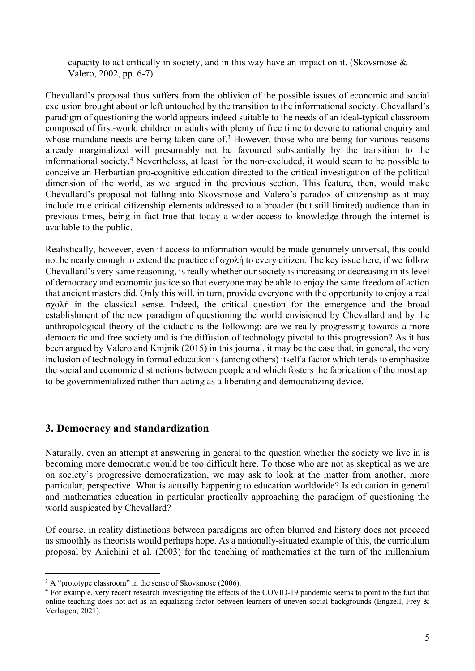capacity to act critically in society, and in this way have an impact on it. (Skovsmose & Valero, 2002, pp. 6-7).

Chevallard's proposal thus suffers from the oblivion of the possible issues of economic and social exclusion brought about or left untouched by the transition to the informational society. Chevallard's paradigm of questioning the world appears indeed suitable to the needs of an ideal-typical classroom composed of first-world children or adults with plenty of free time to devote to rational enquiry and whose mundane needs are being taken care of.<sup>3</sup> However, those who are being for various reasons already marginalized will presumably not be favoured substantially by the transition to the informational society. <sup>4</sup> Nevertheless, at least for the non-excluded, it would seem to be possible to conceive an Herbartian pro-cognitive education directed to the critical investigation of the political dimension of the world, as we argued in the previous section. This feature, then, would make Chevallard's proposal not falling into Skovsmose and Valero's paradox of citizenship as it may include true critical citizenship elements addressed to a broader (but still limited) audience than in previous times, being in fact true that today a wider access to knowledge through the internet is available to the public.

Realistically, however, even if access to information would be made genuinely universal, this could not be nearly enough to extend the practice of σχολή to every citizen. The key issue here, if we follow Chevallard's very same reasoning, is really whether our society is increasing or decreasing in its level of democracy and economic justice so that everyone may be able to enjoy the same freedom of action that ancient masters did. Only this will, in turn, provide everyone with the opportunity to enjoy a real σχολή in the classical sense. Indeed, the critical question for the emergence and the broad establishment of the new paradigm of questioning the world envisioned by Chevallard and by the anthropological theory of the didactic is the following: are we really progressing towards a more democratic and free society and is the diffusion of technology pivotal to this progression? As it has been argued by Valero and Knijnik (2015) in this journal, it may be the case that, in general, the very inclusion of technology in formal education is (among others) itself a factor which tends to emphasize the social and economic distinctions between people and which fosters the fabrication of the most apt to be governmentalized rather than acting as a liberating and democratizing device.

### **3. Democracy and standardization**

Naturally, even an attempt at answering in general to the question whether the society we live in is becoming more democratic would be too difficult here. To those who are not as skeptical as we are on society's progressive democratization, we may ask to look at the matter from another, more particular, perspective. What is actually happening to education worldwide? Is education in general and mathematics education in particular practically approaching the paradigm of questioning the world auspicated by Chevallard?

Of course, in reality distinctions between paradigms are often blurred and history does not proceed as smoothly as theorists would perhaps hope. As a nationally-situated example of this, the curriculum proposal by Anichini et al. (2003) for the teaching of mathematics at the turn of the millennium

 $3 \text{ A}$  "prototype classroom" in the sense of Skovsmose (2006).

<sup>&</sup>lt;sup>4</sup> For example, very recent research investigating the effects of the COVID-19 pandemic seems to point to the fact that online teaching does not act as an equalizing factor between learners of uneven social backgrounds (Engzell, Frey & Verhagen, 2021).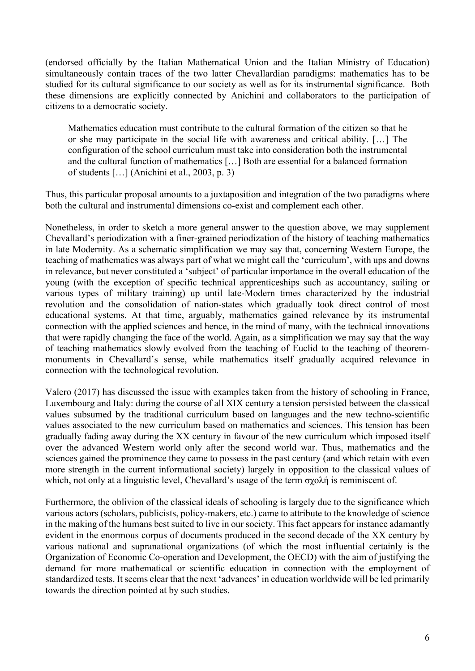(endorsed officially by the Italian Mathematical Union and the Italian Ministry of Education) simultaneously contain traces of the two latter Chevallardian paradigms: mathematics has to be studied for its cultural significance to our society as well as for its instrumental significance. Both these dimensions are explicitly connected by Anichini and collaborators to the participation of citizens to a democratic society.

Mathematics education must contribute to the cultural formation of the citizen so that he or she may participate in the social life with awareness and critical ability. […] The configuration of the school curriculum must take into consideration both the instrumental and the cultural function of mathematics […] Both are essential for a balanced formation of students […] (Anichini et al., 2003, p. 3)

Thus, this particular proposal amounts to a juxtaposition and integration of the two paradigms where both the cultural and instrumental dimensions co-exist and complement each other.

Nonetheless, in order to sketch a more general answer to the question above, we may supplement Chevallard's periodization with a finer-grained periodization of the history of teaching mathematics in late Modernity. As a schematic simplification we may say that, concerning Western Europe, the teaching of mathematics was always part of what we might call the 'curriculum', with ups and downs in relevance, but never constituted a 'subject' of particular importance in the overall education of the young (with the exception of specific technical apprenticeships such as accountancy, sailing or various types of military training) up until late-Modern times characterized by the industrial revolution and the consolidation of nation-states which gradually took direct control of most educational systems. At that time, arguably, mathematics gained relevance by its instrumental connection with the applied sciences and hence, in the mind of many, with the technical innovations that were rapidly changing the face of the world. Again, as a simplification we may say that the way of teaching mathematics slowly evolved from the teaching of Euclid to the teaching of theoremmonuments in Chevallard's sense, while mathematics itself gradually acquired relevance in connection with the technological revolution.

Valero (2017) has discussed the issue with examples taken from the history of schooling in France, Luxembourg and Italy: during the course of all XIX century a tension persisted between the classical values subsumed by the traditional curriculum based on languages and the new techno-scientific values associated to the new curriculum based on mathematics and sciences. This tension has been gradually fading away during the XX century in favour of the new curriculum which imposed itself over the advanced Western world only after the second world war. Thus, mathematics and the sciences gained the prominence they came to possess in the past century (and which retain with even more strength in the current informational society) largely in opposition to the classical values of which, not only at a linguistic level, Chevallard's usage of the term σχολή is reminiscent of.

Furthermore, the oblivion of the classical ideals of schooling is largely due to the significance which various actors (scholars, publicists, policy-makers, etc.) came to attribute to the knowledge of science in the making of the humans best suited to live in our society. This fact appears for instance adamantly evident in the enormous corpus of documents produced in the second decade of the XX century by various national and supranational organizations (of which the most influential certainly is the Organization of Economic Co-operation and Development, the OECD) with the aim of justifying the demand for more mathematical or scientific education in connection with the employment of standardized tests. It seems clear that the next 'advances' in education worldwide will be led primarily towards the direction pointed at by such studies.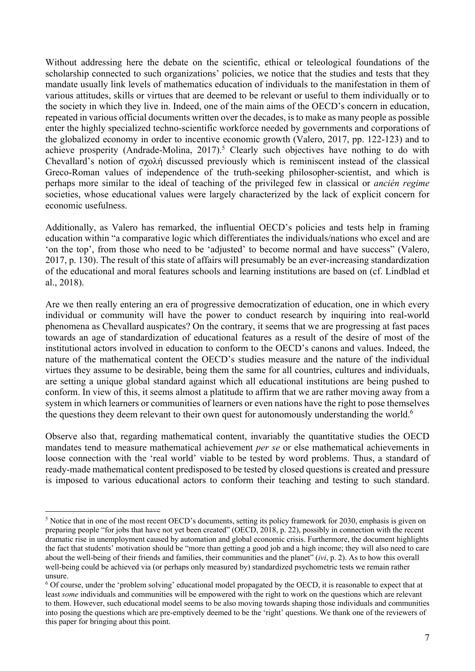Without addressing here the debate on the scientific, ethical or teleological foundations of the scholarship connected to such organizations' policies, we notice that the studies and tests that they mandate usually link levels of mathematics education of individuals to the manifestation in them of various attitudes, skills or virtues that are deemed to be relevant or useful to them individually or to the society in which they live in. Indeed, one of the main aims of the OECD's concern in education, repeated in various official documents written over the decades, is to make as many people as possible enter the highly specialized techno-scientific workforce needed by governments and corporations of the globalized economy in order to incentive economic growth (Valero, 2017, pp. 122-123) and to achieve prosperity (Andrade-Molina, 2017).<sup>5</sup> Clearly such objectives have nothing to do with Chevallard's notion of σχολή discussed previously which is reminiscent instead of the classical Greco-Roman values of independence of the truth-seeking philosopher-scientist, and which is perhaps more similar to the ideal of teaching of the privileged few in classical or *ancién regime* societies, whose educational values were largely characterized by the lack of explicit concern for economic usefulness.

Additionally, as Valero has remarked, the influential OECD's policies and tests help in framing education within "a comparative logic which differentiates the individuals/nations who excel and are 'on the top', from those who need to be 'adjusted' to become normal and have success" (Valero, 2017, p. 130). The result of this state of affairs will presumably be an ever-increasing standardization of the educational and moral features schools and learning institutions are based on (cf. Lindblad et al., 2018).

Are we then really entering an era of progressive democratization of education, one in which every individual or community will have the power to conduct research by inquiring into real-world phenomena as Chevallard auspicates? On the contrary, it seems that we are progressing at fast paces towards an age of standardization of educational features as a result of the desire of most of the institutional actors involved in education to conform to the OECD's canons and values. Indeed, the nature of the mathematical content the OECD's studies measure and the nature of the individual virtues they assume to be desirable, being them the same for all countries, cultures and individuals, are setting a unique global standard against which all educational institutions are being pushed to conform. In view of this, it seems almost a platitude to affirm that we are rather moving away from a system in which learners or communities of learners or even nations have the right to pose themselves the questions they deem relevant to their own quest for autonomously understanding the world.<sup>6</sup>

Observe also that, regarding mathematical content, invariably the quantitative studies the OECD mandates tend to measure mathematical achievement *per se* or else mathematical achievements in loose connection with the 'real world' viable to be tested by word problems. Thus, a standard of ready-made mathematical content predisposed to be tested by closed questions is created and pressure is imposed to various educational actors to conform their teaching and testing to such standard.

<sup>5</sup> Notice that in one of the most recent OECD's documents, setting its policy framework for 2030, emphasis is given on preparing people "for jobs that have not yet been created" (OECD, 2018, p. 22), possibly in connection with the recent dramatic rise in unemployment caused by automation and global economic crisis. Furthermore, the document highlights the fact that students' motivation should be "more than getting a good job and a high income; they will also need to care about the well-being of their friends and families, their communities and the planet" (*ivi*, p. 2). As to how this overall well-being could be achieved via (or perhaps only measured by) standardized psychometric tests we remain rather unsure.

<sup>6</sup> Of course, under the 'problem solving' educational model propagated by the OECD, it is reasonable to expect that at least *some* individuals and communities will be empowered with the right to work on the questions which are relevant to them. However, such educational model seems to be also moving towards shaping those individuals and communities into posing the questions which are pre-emptively deemed to be the 'right' questions. We thank one of the reviewers of this paper for bringing about this point.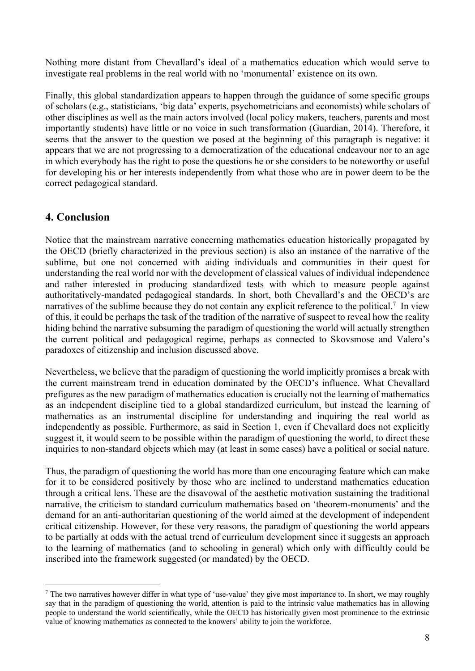Nothing more distant from Chevallard's ideal of a mathematics education which would serve to investigate real problems in the real world with no 'monumental' existence on its own.

Finally, this global standardization appears to happen through the guidance of some specific groups of scholars (e.g., statisticians, 'big data' experts, psychometricians and economists) while scholars of other disciplines as well as the main actors involved (local policy makers, teachers, parents and most importantly students) have little or no voice in such transformation (Guardian, 2014). Therefore, it seems that the answer to the question we posed at the beginning of this paragraph is negative: it appears that we are not progressing to a democratization of the educational endeavour nor to an age in which everybody has the right to pose the questions he or she considers to be noteworthy or useful for developing his or her interests independently from what those who are in power deem to be the correct pedagogical standard.

### **4. Conclusion**

Notice that the mainstream narrative concerning mathematics education historically propagated by the OECD (briefly characterized in the previous section) is also an instance of the narrative of the sublime, but one not concerned with aiding individuals and communities in their quest for understanding the real world nor with the development of classical values of individual independence and rather interested in producing standardized tests with which to measure people against authoritatively-mandated pedagogical standards. In short, both Chevallard's and the OECD's are narratives of the sublime because they do not contain any explicit reference to the political.<sup>7</sup> In view of this, it could be perhaps the task of the tradition of the narrative of suspect to reveal how the reality hiding behind the narrative subsuming the paradigm of questioning the world will actually strengthen the current political and pedagogical regime, perhaps as connected to Skovsmose and Valero's paradoxes of citizenship and inclusion discussed above.

Nevertheless, we believe that the paradigm of questioning the world implicitly promises a break with the current mainstream trend in education dominated by the OECD's influence. What Chevallard prefigures as the new paradigm of mathematics education is crucially not the learning of mathematics as an independent discipline tied to a global standardized curriculum, but instead the learning of mathematics as an instrumental discipline for understanding and inquiring the real world as independently as possible. Furthermore, as said in Section 1, even if Chevallard does not explicitly suggest it, it would seem to be possible within the paradigm of questioning the world, to direct these inquiries to non-standard objects which may (at least in some cases) have a political or social nature.

Thus, the paradigm of questioning the world has more than one encouraging feature which can make for it to be considered positively by those who are inclined to understand mathematics education through a critical lens. These are the disavowal of the aesthetic motivation sustaining the traditional narrative, the criticism to standard curriculum mathematics based on 'theorem-monuments' and the demand for an anti-authoritarian questioning of the world aimed at the development of independent critical citizenship. However, for these very reasons, the paradigm of questioning the world appears to be partially at odds with the actual trend of curriculum development since it suggests an approach to the learning of mathematics (and to schooling in general) which only with difficultly could be inscribed into the framework suggested (or mandated) by the OECD.

 $<sup>7</sup>$  The two narratives however differ in what type of 'use-value' they give most importance to. In short, we may roughly</sup> say that in the paradigm of questioning the world, attention is paid to the intrinsic value mathematics has in allowing people to understand the world scientifically, while the OECD has historically given most prominence to the extrinsic value of knowing mathematics as connected to the knowers' ability to join the workforce.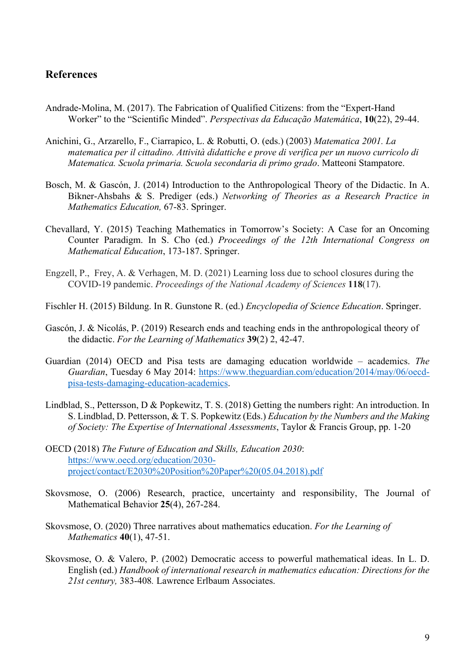#### **References**

- Andrade-Molina, M. (2017). The Fabrication of Qualified Citizens: from the "Expert-Hand Worker" to the "Scientific Minded". *Perspectivas da Educação Matemática*, **10**(22), 29-44.
- Anichini, G., Arzarello, F., Ciarrapico, L. & Robutti, O. (eds.) (2003) *Matematica 2001. La matematica per il cittadino. Attività didattiche e prove di verifica per un nuovo curricolo di Matematica. Scuola primaria. Scuola secondaria di primo grado*. Matteoni Stampatore.
- Bosch, M. & Gascón, J. (2014) Introduction to the Anthropological Theory of the Didactic. In A. Bikner-Ahsbahs & S. Prediger (eds.) *Networking of Theories as a Research Practice in Mathematics Education,* 67-83. Springer.
- Chevallard, Y. (2015) Teaching Mathematics in Tomorrow's Society: A Case for an Oncoming Counter Paradigm. In S. Cho (ed.) *Proceedings of the 12th International Congress on Mathematical Education*, 173-187. Springer.
- Engzell, P., Frey, A. & Verhagen, M. D. (2021) Learning loss due to school closures during the COVID-19 pandemic. *Proceedings of the National Academy of Sciences* **118**(17).
- Fischler H. (2015) Bildung. In R. Gunstone R. (ed.) *Encyclopedia of Science Education*. Springer.
- Gascón, J. & Nicolás, P. (2019) Research ends and teaching ends in the anthropological theory of the didactic. *For the Learning of Mathematics* **39**(2) 2, 42-47.
- Guardian (2014) OECD and Pisa tests are damaging education worldwide academics. *The Guardian*, Tuesday 6 May 2014: https://www.theguardian.com/education/2014/may/06/oecdpisa-tests-damaging-education-academics.
- Lindblad, S., Pettersson, D & Popkewitz, T. S. (2018) Getting the numbers right: An introduction. In S. Lindblad, D. Pettersson, & T. S. Popkewitz (Eds.) *Education by the Numbers and the Making of Society: The Expertise of International Assessments*, Taylor & Francis Group, pp. 1-20
- OECD (2018) *The Future of Education and Skills, Education 2030*: https://www.oecd.org/education/2030 project/contact/E2030%20Position%20Paper%20(05.04.2018).pdf
- Skovsmose, O. (2006) Research, practice, uncertainty and responsibility, The Journal of Mathematical Behavior **25**(4), 267-284.
- Skovsmose, O. (2020) Three narratives about mathematics education. *For the Learning of Mathematics* **40**(1), 47-51.
- Skovsmose, O. & Valero, P. (2002) Democratic access to powerful mathematical ideas. In L. D. English (ed.) *Handbook of international research in mathematics education: Directions for the 21st century,* 383-408*.* Lawrence Erlbaum Associates.